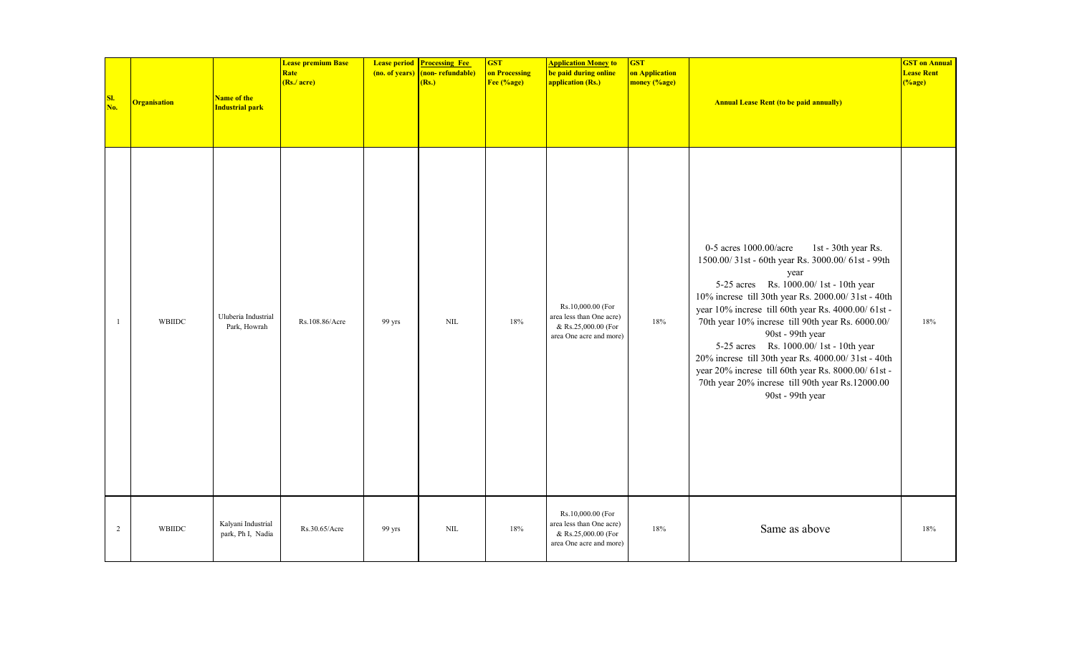| SI.<br>No.     | <b>Organisation</b> | Name of the<br><b>Industrial park</b>   | <b>Lease premium Base</b><br><b>Rate</b><br>(Rs./ acre) | (no. of years) | <b>Lease period Processing Fee</b><br>(non-refundable)<br>(Rs.) | <b>GST</b><br>on Processing<br>Fee (%age) | <b>Application Money to</b><br>be paid during online<br>application (Rs.)                       | <b>GST</b><br>on Application<br>money (%age) | <b>Annual Lease Rent (to be paid annually)</b>                                                                                                                                                                                                                                                                                                                                                                                                                                                                                                                       | <b>GST on Annual</b><br><b>Lease Rent</b><br>$(\%$ age) |
|----------------|---------------------|-----------------------------------------|---------------------------------------------------------|----------------|-----------------------------------------------------------------|-------------------------------------------|-------------------------------------------------------------------------------------------------|----------------------------------------------|----------------------------------------------------------------------------------------------------------------------------------------------------------------------------------------------------------------------------------------------------------------------------------------------------------------------------------------------------------------------------------------------------------------------------------------------------------------------------------------------------------------------------------------------------------------------|---------------------------------------------------------|
| $\overline{1}$ | WBIIDC              | Uluberia Industrial<br>Park, Howrah     | Rs.108.86/Acre                                          | 99 yrs         | $\text{NIL}$                                                    | 18%                                       | Rs.10,000.00 (For<br>area less than One acre)<br>& Rs.25,000.00 (For<br>area One acre and more) | 18%                                          | 0-5 acres 1000.00/acre<br>1st - 30th year Rs.<br>1500.00/31st - 60th year Rs. 3000.00/61st - 99th<br>year<br>5-25 acres Rs. 1000.00/1st - 10th year<br>10% increse till 30th year Rs. 2000.00/31st - 40th<br>year 10% increse till 60th year Rs. 4000.00/61st-<br>70th year 10% increse till 90th year Rs. 6000.00/<br>90st - 99th year<br>5-25 acres Rs. 1000.00/1st - 10th year<br>20% increse till 30th year Rs. 4000.00/31st - 40th<br>year 20% increse till 60th year Rs. 8000.00/61st-<br>70th year 20% increse till 90th year Rs.12000.00<br>90st - 99th year | 18%                                                     |
| $\overline{2}$ | WBIIDC              | Kalyani Industrial<br>park, Ph I, Nadia | Rs.30.65/Acre                                           | 99 yrs         | <b>NIL</b>                                                      | 18%                                       | Rs.10,000.00 (For<br>area less than One acre)<br>& Rs.25,000.00 (For<br>area One acre and more) | 18%                                          | Same as above                                                                                                                                                                                                                                                                                                                                                                                                                                                                                                                                                        | 18%                                                     |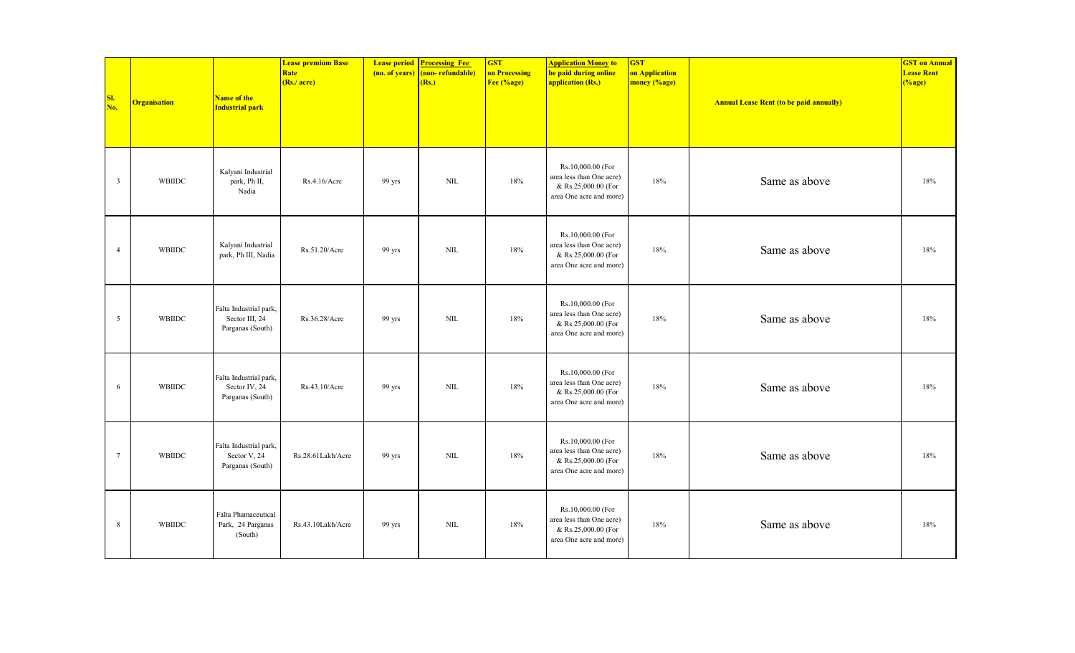| SI.<br>No.              | <b>Organisation</b> | Name of the<br><b>Industrial park</b>                        | <b>Lease premium Base</b><br>Rate<br>(Rs./ acre) | (no. of years) | <b>Lease period Processing Fee</b><br>(non-refundable)<br>(Rs.) | <b>GST</b><br>on Processing<br>Fee (%age) | <b>Application Money to</b><br>be paid during online<br>application (Rs.)                       | <b>GST</b><br>on Application<br>money (%age) | <b>Annual Lease Rent (to be paid annually)</b> | <b>GST on Annual</b><br><b>Lease Rent</b><br>( %age) |
|-------------------------|---------------------|--------------------------------------------------------------|--------------------------------------------------|----------------|-----------------------------------------------------------------|-------------------------------------------|-------------------------------------------------------------------------------------------------|----------------------------------------------|------------------------------------------------|------------------------------------------------------|
| $\overline{\mathbf{3}}$ | WBIIDC              | Kalyani Industrial<br>park, Ph II,<br>Nadia                  | Rs.4.16/Acre                                     | 99 yrs         | $\text{NIL}$                                                    | 18%                                       | Rs.10,000.00 (For<br>area less than One acre)<br>& Rs.25,000.00 (For<br>area One acre and more) | 18%                                          | Same as above                                  | 18%                                                  |
| $\overline{4}$          | WBIIDC              | Kalyani Industrial<br>park, Ph III, Nadia                    | Rs.51.20/Acre                                    | 99 yrs         | NIL                                                             | 18%                                       | Rs.10,000.00 (For<br>area less than One acre)<br>& Rs.25,000.00 (For<br>area One acre and more) | 18%                                          | Same as above                                  | 18%                                                  |
| 5                       | <b>WBIIDC</b>       | Falta Industrial park,<br>Sector III, 24<br>Parganas (South) | Rs.36.28/Acre                                    | 99 yrs         | NIL                                                             | 18%                                       | Rs.10,000.00 (For<br>area less than One acre)<br>& Rs.25,000.00 (For<br>area One acre and more) | 18%                                          | Same as above                                  | 18%                                                  |
| 6                       | WBIIDC              | Falta Industrial park,<br>Sector IV, 24<br>Parganas (South)  | Rs.43.10/Acre                                    | 99 yrs         | $\text{NIL}$                                                    | 18%                                       | Rs.10,000.00 (For<br>area less than One acre)<br>& Rs.25,000.00 (For<br>area One acre and more) | 18%                                          | Same as above                                  | 18%                                                  |
| $7\phantom{.0}$         | WBIIDC              | Falta Industrial park,<br>Sector V, 24<br>Parganas (South)   | Rs.28.61Lakh/Acre                                | 99 yrs         | NIL                                                             | 18%                                       | Rs.10,000.00 (For<br>area less than One acre)<br>& Rs.25,000.00 (For<br>area One acre and more) | 18%                                          | Same as above                                  | 18%                                                  |
| $8\phantom{.0}$         | WBIIDC              | Falta Phamaceutical<br>Park, 24 Parganas<br>(South)          | Rs.43.10Lakh/Acre                                | 99 yrs         | <b>NIL</b>                                                      | 18%                                       | Rs.10,000.00 (For<br>area less than One acre)<br>& Rs.25,000.00 (For<br>area One acre and more) | 18%                                          | Same as above                                  | 18%                                                  |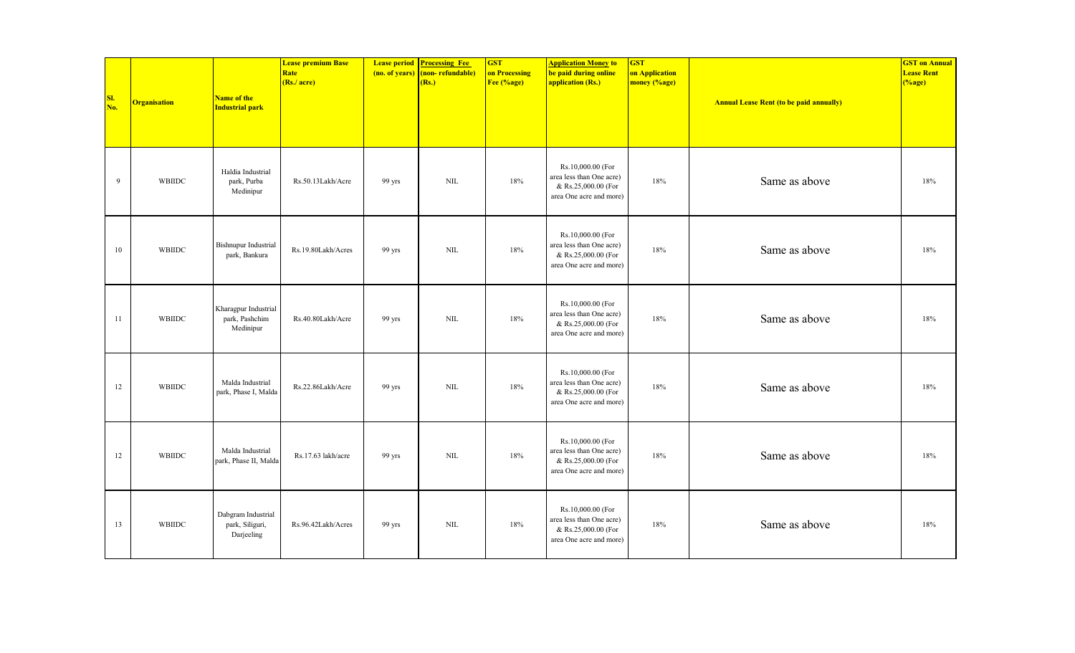| SI.<br>No. | <b>Organisation</b> | Name of the<br><b>Industrial park</b>               | <b>Lease premium Base</b><br>Rate<br>(Rs./ acre) | (no. of years) | <b>Lease period Processing Fee</b><br>(non-refundable)<br>(Rs.) | <b>GST</b><br>on Processing<br>Fee (%age) | <b>Application Money to</b><br>be paid during online<br>application (Rs.)                       | <b>GST</b><br>on Application<br>money (%age) | <b>Annual Lease Rent (to be paid annually)</b> | <b>GST on Annual</b><br><b>Lease Rent</b><br>$(\%$ age) |
|------------|---------------------|-----------------------------------------------------|--------------------------------------------------|----------------|-----------------------------------------------------------------|-------------------------------------------|-------------------------------------------------------------------------------------------------|----------------------------------------------|------------------------------------------------|---------------------------------------------------------|
| 9          | WBIIDC              | Haldia Industrial<br>park, Purba<br>Medinipur       | Rs.50.13Lakh/Acre                                | 99 yrs         | $\text{NIL}$                                                    | 18%                                       | Rs.10,000.00 (For<br>area less than One acre)<br>& Rs.25,000.00 (For<br>area One acre and more) | 18%                                          | Same as above                                  | 18%                                                     |
| 10         | WBIIDC              | <b>Bishnupur Industrial</b><br>park, Bankura        | Rs.19.80Lakh/Acres                               | 99 yrs         | NIL                                                             | 18%                                       | Rs.10,000.00 (For<br>area less than One acre)<br>& Rs.25,000.00 (For<br>area One acre and more) | 18%                                          | Same as above                                  | 18%                                                     |
| -11        | <b>WBIIDC</b>       | Kharagpur Industrial<br>park, Pashchim<br>Medinipur | Rs.40.80Lakh/Acre                                | 99 yrs         | NIL                                                             | 18%                                       | Rs.10,000.00 (For<br>area less than One acre)<br>& Rs.25,000.00 (For<br>area One acre and more) | 18%                                          | Same as above                                  | 18%                                                     |
| 12         | WBIIDC              | Malda Industrial<br>park, Phase I, Malda            | Rs.22.86Lakh/Acre                                | 99 yrs         | $\text{NIL}$                                                    | 18%                                       | Rs.10,000.00 (For<br>area less than One acre)<br>& Rs.25,000.00 (For<br>area One acre and more) | 18%                                          | Same as above                                  | 18%                                                     |
| 12         | WBIIDC              | Malda Industrial<br>park, Phase II, Malda           | Rs.17.63 lakh/acre                               | 99 yrs         | <b>NIL</b>                                                      | 18%                                       | Rs.10,000.00 (For<br>area less than One acre)<br>& Rs.25,000.00 (For<br>area One acre and more) | 18%                                          | Same as above                                  | 18%                                                     |
| 13         | WBIIDC              | Dabgram Industrial<br>park, Siliguri,<br>Darjeeling | Rs.96.42Lakh/Acres                               | 99 yrs         | <b>NIL</b>                                                      | 18%                                       | Rs.10,000.00 (For<br>area less than One acre)<br>& Rs.25,000.00 (For<br>area One acre and more) | 18%                                          | Same as above                                  | 18%                                                     |